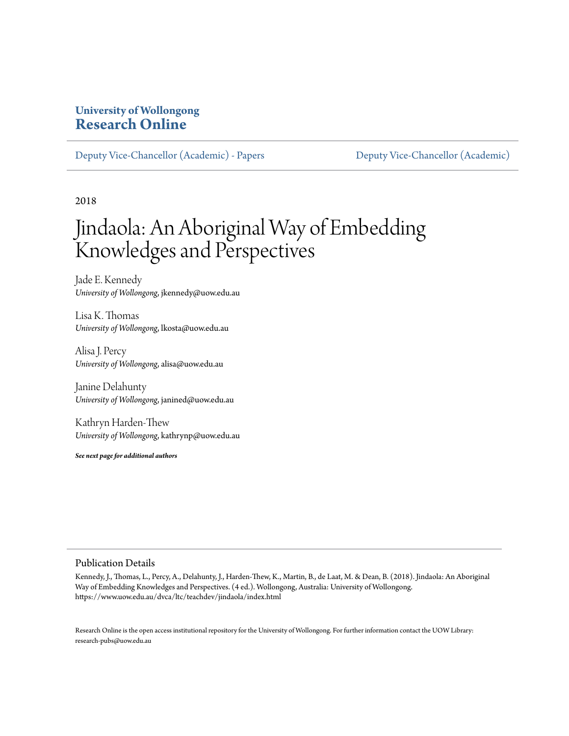### **University of Wollongong [Research Online](https://ro.uow.edu.au/)**

[Deputy Vice-Chancellor \(Academic\) - Papers](https://ro.uow.edu.au/asdpapers) [Deputy Vice-Chancellor \(Academic\)](https://ro.uow.edu.au/asd)

2018

# Jindaola: An Aboriginal Way of Embedding Knowledges and Perspectives

Jade E. Kennedy *University of Wollongong*, jkennedy@uow.edu.au

Lisa K. Thomas *University of Wollongong*, lkosta@uow.edu.au

Alisa J. Percy *University of Wollongong*, alisa@uow.edu.au

Janine Delahunty *University of Wollongong*, janined@uow.edu.au

Kathryn Harden-Thew *University of Wollongong*, kathrynp@uow.edu.au

*See next page for additional authors*

#### Publication Details

Kennedy, J., Thomas, L., Percy, A., Delahunty, J., Harden-Thew, K., Martin, B., de Laat, M. & Dean, B. (2018). Jindaola: An Aboriginal Way of Embedding Knowledges and Perspectives. (4 ed.). Wollongong, Australia: University of Wollongong. https://www.uow.edu.au/dvca/ltc/teachdev/jindaola/index.html

Research Online is the open access institutional repository for the University of Wollongong. For further information contact the UOW Library: research-pubs@uow.edu.au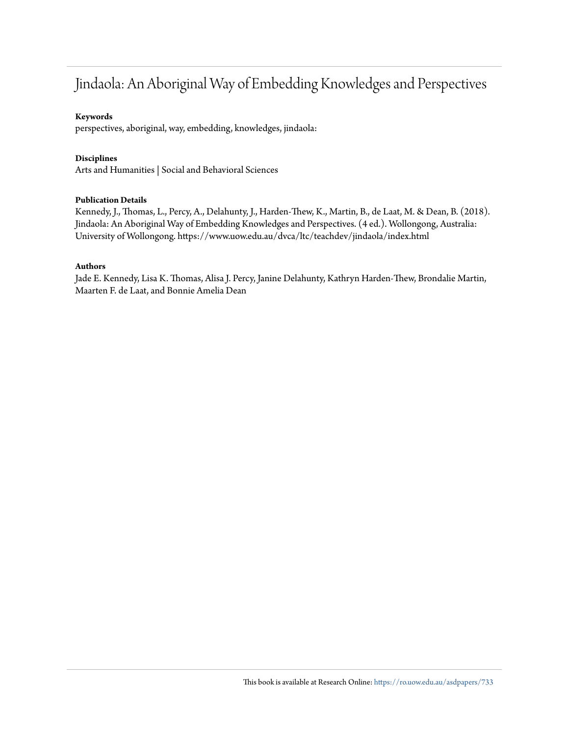### Jindaola: An Aboriginal Way of Embedding Knowledges and Perspectives

#### **Keywords**

perspectives, aboriginal, way, embedding, knowledges, jindaola:

#### **Disciplines**

Arts and Humanities | Social and Behavioral Sciences

#### **Publication Details**

Kennedy, J., Thomas, L., Percy, A., Delahunty, J., Harden-Thew, K., Martin, B., de Laat, M. & Dean, B. (2018). Jindaola: An Aboriginal Way of Embedding Knowledges and Perspectives. (4 ed.). Wollongong, Australia: University of Wollongong. https://www.uow.edu.au/dvca/ltc/teachdev/jindaola/index.html

#### **Authors**

Jade E. Kennedy, Lisa K. Thomas, Alisa J. Percy, Janine Delahunty, Kathryn Harden-Thew, Brondalie Martin, Maarten F. de Laat, and Bonnie Amelia Dean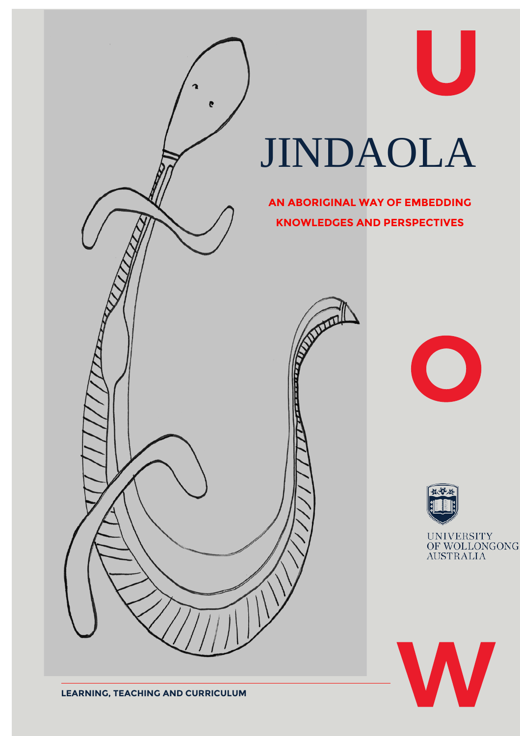



U



UNIVERSITY<br>OF WOLLONGONG<br>AUSTRALIA

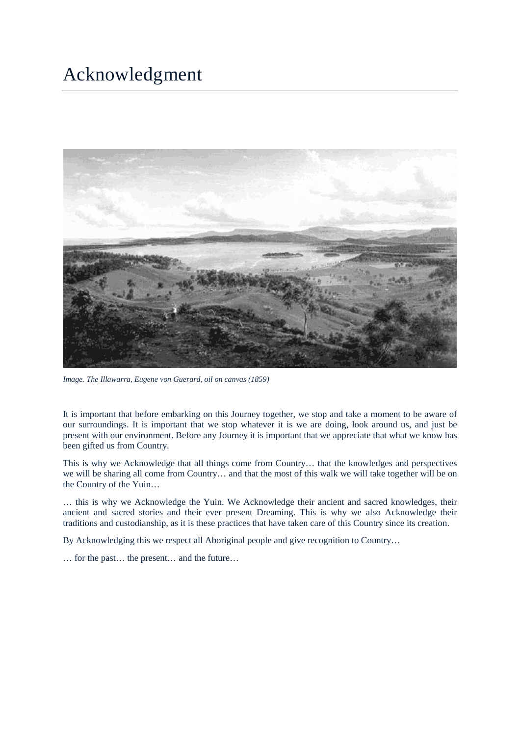### <span id="page-3-0"></span>Acknowledgment



*Image. The Illawarra, Eugene von Guerard, oil on canvas (1859)*

It is important that before embarking on this Journey together, we stop and take a moment to be aware of our surroundings. It is important that we stop whatever it is we are doing, look around us, and just be present with our environment. Before any Journey it is important that we appreciate that what we know has been gifted us from Country.

This is why we Acknowledge that all things come from Country… that the knowledges and perspectives we will be sharing all come from Country… and that the most of this walk we will take together will be on the Country of the Yuin…

… this is why we Acknowledge the Yuin. We Acknowledge their ancient and sacred knowledges, their ancient and sacred stories and their ever present Dreaming. This is why we also Acknowledge their traditions and custodianship, as it is these practices that have taken care of this Country since its creation.

By Acknowledging this we respect all Aboriginal people and give recognition to Country...

… for the past… the present… and the future…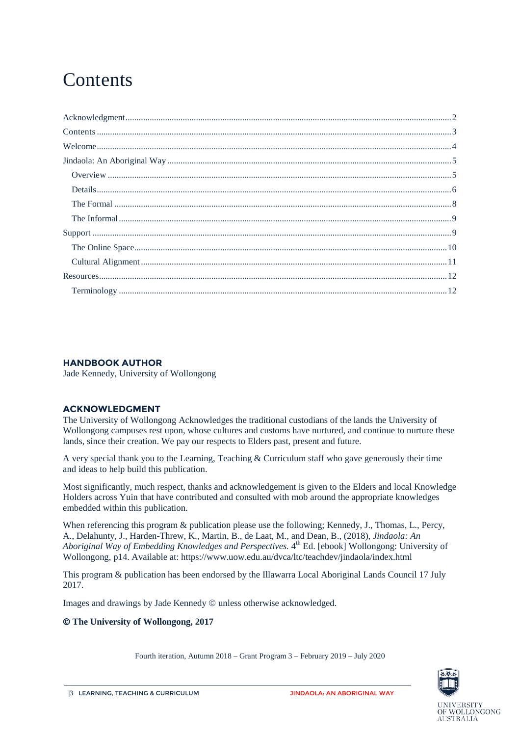# <span id="page-4-0"></span>**Contents**

#### **HANDBOOK AUTHOR**

Jade Kennedy, University of Wollongong

#### **ACKNOWLEDGMENT**

The University of Wollongong Acknowledges the traditional custodians of the lands the University of Wollongong campuses rest upon, whose cultures and customs have nurtured, and continue to nurture these lands, since their creation. We pay our respects to Elders past, present and future.

A very special thank you to the Learning, Teaching & Curriculum staff who gave generously their time and ideas to help build this publication.

Most significantly, much respect, thanks and acknowledgement is given to the Elders and local Knowledge Holders across Yuin that have contributed and consulted with mob around the appropriate knowledges embedded within this publication.

When referencing this program & publication please use the following; Kennedy, J., Thomas, L., Percy, A., Delahunty, J., Harden-Threw, K., Martin, B., de Laat, M., and Dean, B., (2018), *Jindaola: An Aboriginal Way of Embedding Knowledges and Perspectives.* 4<sup>th</sup> Ed. [ebook] Wollongong: University of Wollongong, p14. Available at: https://www.uow.edu.au/dvca/ltc/teachdev/jindaola/index.html

This program & publication has been endorsed by the Illawarra Local Aboriginal Lands Council 17 July 2017.

Images and drawings by Jade Kennedy  $\odot$  unless otherwise acknowledged.

#### **The University of Wollongong, 2017**

Fourth iteration, Autumn 2018 – Grant Program 3 – February 2019 – July 2020

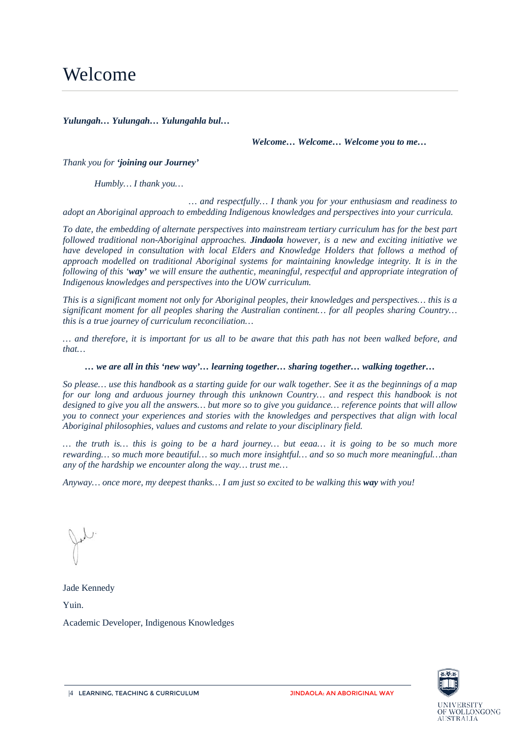<span id="page-5-0"></span>*Yulungah… Yulungah… Yulungahla bul…* 

*Welcome… Welcome… Welcome you to me…* 

*Thank you for 'joining our Journey'*

*Humbly… I thank you…* 

*… and respectfully… I thank you for your enthusiasm and readiness to adopt an Aboriginal approach to embedding Indigenous knowledges and perspectives into your curricula.*

*To date, the embedding of alternate perspectives into mainstream tertiary curriculum has for the best part followed traditional non-Aboriginal approaches. Jindaola however, is a new and exciting initiative we have developed in consultation with local Elders and Knowledge Holders that follows a method of approach modelled on traditional Aboriginal systems for maintaining knowledge integrity. It is in the following of this 'way' we will ensure the authentic, meaningful, respectful and appropriate integration of Indigenous knowledges and perspectives into the UOW curriculum.* 

*This is a significant moment not only for Aboriginal peoples, their knowledges and perspectives… this is a significant moment for all peoples sharing the Australian continent… for all peoples sharing Country… this is a true journey of curriculum reconciliation…*

*… and therefore, it is important for us all to be aware that this path has not been walked before, and that…* 

*… we are all in this 'new way'… learning together… sharing together… walking together…*

*So please… use this handbook as a starting guide for our walk together. See it as the beginnings of a map for our long and arduous journey through this unknown Country… and respect this handbook is not designed to give you all the answers… but more so to give you guidance… reference points that will allow you to connect your experiences and stories with the knowledges and perspectives that align with local Aboriginal philosophies, values and customs and relate to your disciplinary field.*

*… the truth is… this is going to be a hard journey… but eeaa… it is going to be so much more rewarding… so much more beautiful… so much more insightful… and so so much more meaningful…than any of the hardship we encounter along the way… trust me…* 

*Anyway… once more, my deepest thanks… I am just so excited to be walking this way with you!*

Jade Kennedy

Yuin.

Academic Developer, Indigenous Knowledges

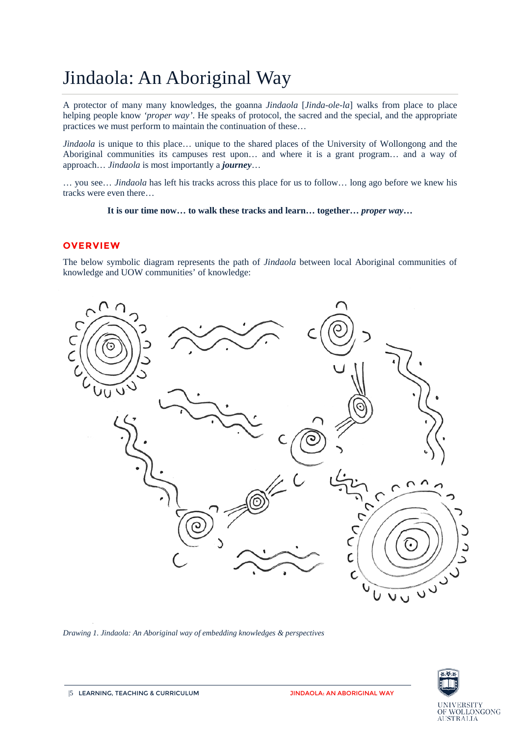# <span id="page-6-0"></span>Jindaola: An Aboriginal Way

A protector of many many knowledges, the goanna *Jindaola* [*Jinda-ole-la*] walks from place to place helping people know *'proper way'*. He speaks of protocol, the sacred and the special, and the appropriate practices we must perform to maintain the continuation of these…

*Jindaola* is unique to this place… unique to the shared places of the University of Wollongong and the Aboriginal communities its campuses rest upon… and where it is a grant program… and a way of approach… *Jindaola* is most importantly a *journey*…

… you see… *Jindaola* has left his tracks across this place for us to follow… long ago before we knew his tracks were even there…

#### **It is our time now… to walk these tracks and learn… together…** *proper way***…**

#### <span id="page-6-1"></span>**OVERVIEW**

The below symbolic diagram represents the path of *Jindaola* between local Aboriginal communities of knowledge and UOW communities' of knowledge:



*Drawing 1. Jindaola: An Aboriginal way of embedding knowledges & perspectives* 

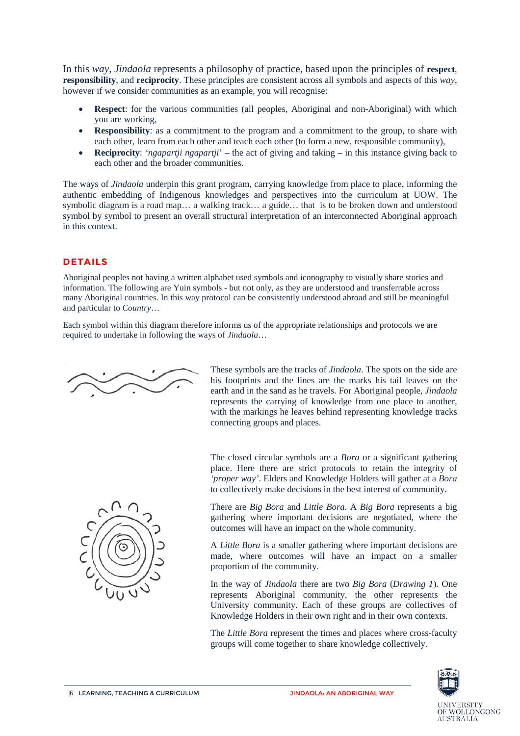In this *way*, *Jindaola* represents a philosophy of practice, based upon the principles of **respect**, **responsibility**, and **reciprocity**. These principles are consistent across all symbols and aspects of this *way*, however if we consider communities as an example, you will recognise:

- **Respect**: for the various communities (all peoples, Aboriginal and non-Aboriginal) with which you are working,
- **Responsibility:** as a commitment to the program and a commitment to the group, to share with each other, learn from each other and teach each other (to form a new, responsible community),
- **Reciprocity**: *'ngapartji ngapartji*' the act of giving and taking in this instance giving back to each other and the broader communities.

The ways of *Jindaola* underpin this grant program, carrying knowledge from place to place, informing the authentic embedding of Indigenous knowledges and perspectives into the curriculum at UOW. The symbolic diagram is a road map… a walking track… a guide… that is to be broken down and understood symbol by symbol to present an overall structural interpretation of an interconnected Aboriginal approach in this context.

### <span id="page-7-0"></span>**DETAILS**

Aboriginal peoples not having a written alphabet used symbols and iconography to visually share stories and information. The following are Yuin symbols - but not only, as they are understood and transferrable across many Aboriginal countries. In this way protocol can be consistently understood abroad and still be meaningful and particular to *Country*…

Each symbol within this diagram therefore informs us of the appropriate relationships and protocols we are required to undertake in following the ways of *Jindaola*…

$$
\sim
$$

These symbols are the tracks of *Jindaola*. The spots on the side are his footprints and the lines are the marks his tail leaves on the earth and in the sand as he travels. For Aboriginal people, *Jindaola* represents the carrying of knowledge from one place to another, with the markings he leaves behind representing knowledge tracks connecting groups and places.

The closed circular symbols are a *Bora* or a significant gathering place. Here there are strict protocols to retain the integrity of

*'proper way'*. Elders and Knowledge Holders will gather at a *Bora* to collectively make decisions in the best interest of community. There are *Big Bora* and *Little Bora*. A *Big Bora* represents a big gathering where important decisions are negotiated, where the outcomes will have an impact on the whole community.

> A *Little Bora* is a smaller gathering where important decisions are made, where outcomes will have an impact on a smaller proportion of the community.

> In the way of *Jindaola* there are two *Big Bora* (*Drawing 1*). One represents Aboriginal community, the other represents the University community. Each of these groups are collectives of Knowledge Holders in their own right and in their own contexts.

> The *Little Bora* represent the times and places where cross-faculty groups will come together to share knowledge collectively.



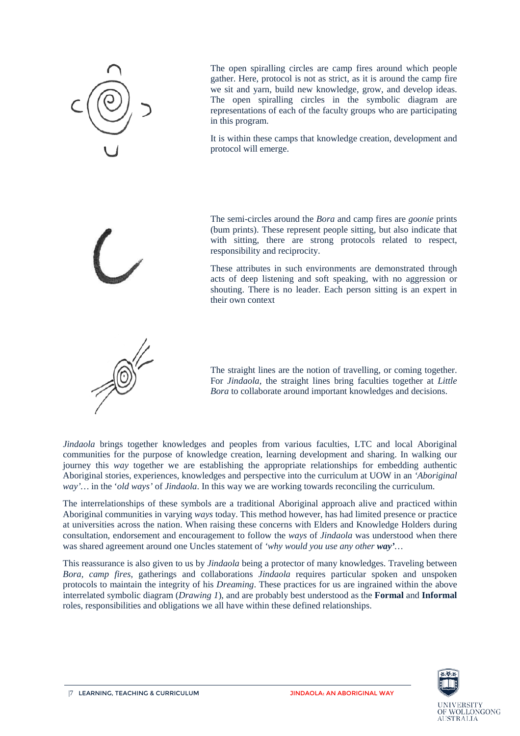

The open spiralling circles are camp fires around which people gather. Here, protocol is not as strict, as it is around the camp fire we sit and yarn, build new knowledge, grow, and develop ideas. The open spiralling circles in the symbolic diagram are representations of each of the faculty groups who are participating in this program.

It is within these camps that knowledge creation, development and protocol will emerge.

The semi-circles around the *Bora* and camp fires are *goonie* prints (bum prints). These represent people sitting, but also indicate that with sitting, there are strong protocols related to respect, responsibility and reciprocity.

These attributes in such environments are demonstrated through acts of deep listening and soft speaking, with no aggression or shouting. There is no leader. Each person sitting is an expert in their own context



The straight lines are the notion of travelling, or coming together. For *Jindaola*, the straight lines bring faculties together at *Little Bora* to collaborate around important knowledges and decisions.

*Jindaola* brings together knowledges and peoples from various faculties, LTC and local Aboriginal communities for the purpose of knowledge creation, learning development and sharing. In walking our journey this *way* together we are establishing the appropriate relationships for embedding authentic Aboriginal stories, experiences, knowledges and perspective into the curriculum at UOW in an *'Aboriginal way'…* in the '*old ways'* of *Jindaola*. In this way we are working towards reconciling the curriculum.

The interrelationships of these symbols are a traditional Aboriginal approach alive and practiced within Aboriginal communities in varying *ways* today. This method however, has had limited presence or practice at universities across the nation. When raising these concerns with Elders and Knowledge Holders during consultation, endorsement and encouragement to follow the *ways* of *Jindaola* was understood when there was shared agreement around one Uncles statement of *'why would you use any other way'…*

This reassurance is also given to us by *Jindaola* being a protector of many knowledges. Traveling between *Bora, camp fires,* gatherings and collaborations *Jindaola* requires particular spoken and unspoken protocols to maintain the integrity of his *Dreaming*. These practices for us are ingrained within the above interrelated symbolic diagram (*Drawing 1*), and are probably best understood as the **Formal** and **Informal** roles, responsibilities and obligations we all have within these defined relationships.



**AUSTRALIA** 

WOLLONGONG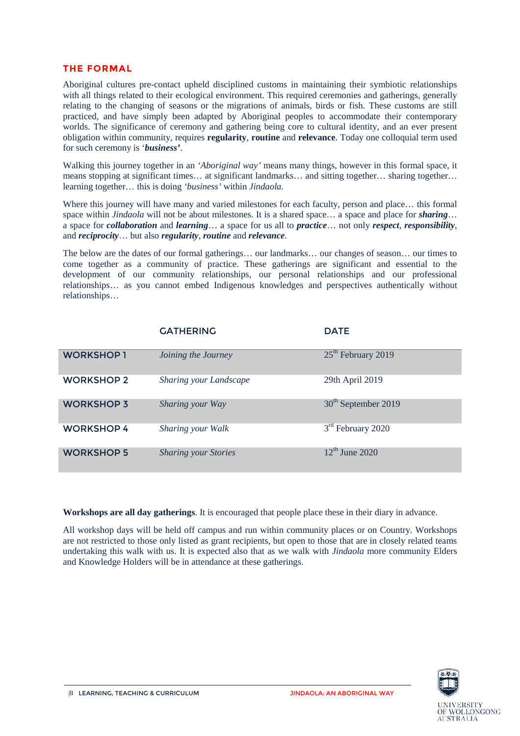#### <span id="page-9-0"></span>**THE FORMAL**

Aboriginal cultures pre-contact upheld disciplined customs in maintaining their symbiotic relationships with all things related to their ecological environment. This required ceremonies and gatherings, generally relating to the changing of seasons or the migrations of animals, birds or fish. These customs are still practiced, and have simply been adapted by Aboriginal peoples to accommodate their contemporary worlds. The significance of ceremony and gathering being core to cultural identity, and an ever present obligation within community, requires **regularity**, **routine** and **relevance**. Today one colloquial term used for such ceremony is '*business'*.

Walking this journey together in an *'Aboriginal way'* means many things, however in this formal space, it means stopping at significant times… at significant landmarks… and sitting together… sharing together… learning together… this is doing *'business'* within *Jindaola.*

Where this journey will have many and varied milestones for each faculty, person and place… this formal space within *Jindaola* will not be about milestones. It is a shared space... a space and place for *sharing*... a space for *collaboration* and *learning*… a space for us all to *practice*… not only *respect*, *responsibility*, and *reciprocity*… but also *regularity*, *routine* and *relevance*.

The below are the dates of our formal gatherings… our landmarks… our changes of season… our times to come together as a community of practice. These gatherings are significant and essential to the development of our community relationships, our personal relationships and our professional relationships… as you cannot embed Indigenous knowledges and perspectives authentically without relationships…

|                   | <b>GATHERING</b>            | <b>DATE</b>                     |
|-------------------|-----------------------------|---------------------------------|
| <b>WORKSHOP1</b>  | Joining the Journey         | 25 <sup>th</sup> February 2019  |
| <b>WORKSHOP 2</b> | Sharing your Landscape      | 29th April 2019                 |
| <b>WORKSHOP 3</b> | Sharing your Way            | 30 <sup>th</sup> September 2019 |
| <b>WORKSHOP4</b>  | Sharing your Walk           | $3rd$ February 2020             |
| <b>WORKSHOP 5</b> | <b>Sharing your Stories</b> | $12^{th}$ June 2020             |

**Workshops are all day gatherings**. It is encouraged that people place these in their diary in advance.

All workshop days will be held off campus and run within community places or on Country. Workshops are not restricted to those only listed as grant recipients, but open to those that are in closely related teams undertaking this walk with us. It is expected also that as we walk with *Jindaola* more community Elders and Knowledge Holders will be in attendance at these gatherings.

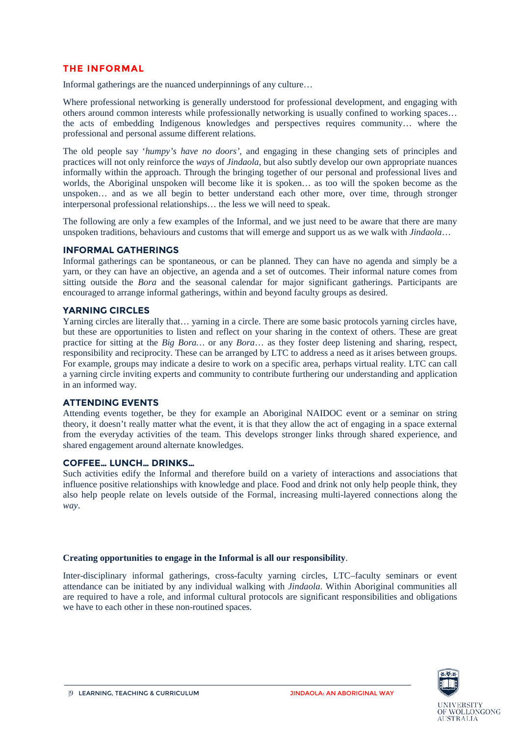#### <span id="page-10-0"></span>**THE INFORMAL**

Informal gatherings are the nuanced underpinnings of any culture…

Where professional networking is generally understood for professional development, and engaging with others around common interests while professionally networking is usually confined to working spaces… the acts of embedding Indigenous knowledges and perspectives requires community… where the professional and personal assume different relations.

The old people say '*humpy's have no doors',* and engaging in these changing sets of principles and practices will not only reinforce the *ways* of *Jindaola*, but also subtly develop our own appropriate nuances informally within the approach. Through the bringing together of our personal and professional lives and worlds, the Aboriginal unspoken will become like it is spoken… as too will the spoken become as the unspoken… and as we all begin to better understand each other more, over time, through stronger interpersonal professional relationships… the less we will need to speak.

The following are only a few examples of the Informal, and we just need to be aware that there are many unspoken traditions, behaviours and customs that will emerge and support us as we walk with *Jindaola*…

#### **INFORMAL GATHERINGS**

Informal gatherings can be spontaneous, or can be planned. They can have no agenda and simply be a yarn, or they can have an objective, an agenda and a set of outcomes. Their informal nature comes from sitting outside the *Bora* and the seasonal calendar for major significant gatherings. Participants are encouraged to arrange informal gatherings, within and beyond faculty groups as desired.

#### **YARNING CIRCLES**

Yarning circles are literally that… yarning in a circle. There are some basic protocols yarning circles have, but these are opportunities to listen and reflect on your sharing in the context of others. These are great practice for sitting at the *Big Bora…* or any *Bora*… as they foster deep listening and sharing, respect, responsibility and reciprocity. These can be arranged by LTC to address a need as it arises between groups. For example, groups may indicate a desire to work on a specific area, perhaps virtual reality. LTC can call a yarning circle inviting experts and community to contribute furthering our understanding and application in an informed way.

#### **ATTENDING EVENTS**

Attending events together, be they for example an Aboriginal NAIDOC event or a seminar on string theory, it doesn't really matter what the event, it is that they allow the act of engaging in a space external from the everyday activities of the team. This develops stronger links through shared experience, and shared engagement around alternate knowledges.

#### **COFFEE… LUNCH… DRINKS…**

Such activities edify the Informal and therefore build on a variety of interactions and associations that influence positive relationships with knowledge and place. Food and drink not only help people think, they also help people relate on levels outside of the Formal, increasing multi-layered connections along the *way*.

#### **Creating opportunities to engage in the Informal is all our responsibility**.

<span id="page-10-1"></span>Inter-disciplinary informal gatherings, cross-faculty yarning circles, LTC–faculty seminars or event attendance can be initiated by any individual walking with *Jindaola*. Within Aboriginal communities all are required to have a role, and informal cultural protocols are significant responsibilities and obligations we have to each other in these non-routined spaces.



**AUSTRALIA** 

WOLLONGONG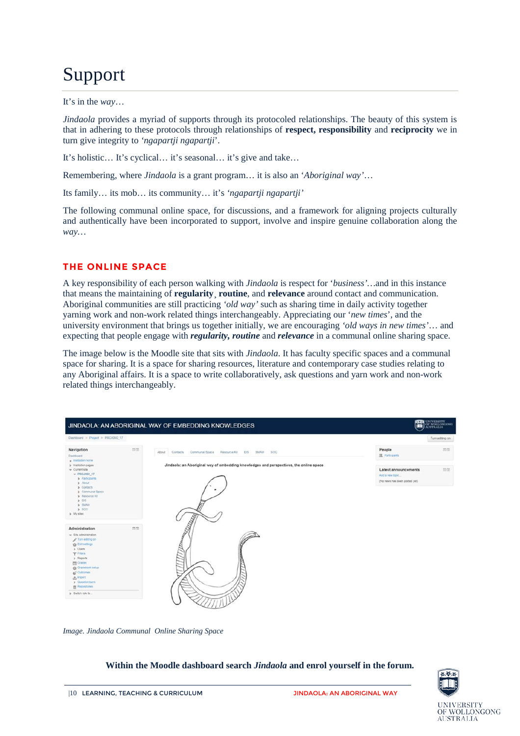# Support

#### It's in the *way*…

*Jindaola* provides a myriad of supports through its protocoled relationships. The beauty of this system is that in adhering to these protocols through relationships of **respect, responsibility** and **reciprocity** we in turn give integrity to *'ngapartji ngapartji*'.

It's holistic… It's cyclical… it's seasonal… it's give and take…

Remembering, where *Jindaola* is a grant program… it is also an '*Aboriginal way'*…

Its family… its mob… its community… it's *'ngapartji ngapartji'*

The following communal online space, for discussions, and a framework for aligning projects culturally and authentically have been incorporated to support, involve and inspire genuine collaboration along the *way…*

#### <span id="page-11-0"></span>**THE ONLINE SPACE**

A key responsibility of each person walking with *Jindaola* is respect for '*business'…*and in this instance that means the maintaining of **regularity**¸ **routine**, and **relevance** around contact and communication. Aboriginal communities are still practicing *'old way'* such as sharing time in daily activity together yarning work and non-work related things interchangeably. Appreciating our '*new times*', and the university environment that brings us together initially, we are encouraging *'old ways in new times'*… and expecting that people engage with *regularity, routine* and *relevance* in a communal online sharing space.

The image below is the Moodle site that sits with *Jindaola*. It has faculty specific spaces and a communal space for sharing. It is a space for sharing resources, literature and contemporary case studies relating to any Aboriginal affairs. It is a space to write collaboratively, ask questions and yarn work and non-work related things interchangeably.



*Image. Jindaola Communal Online Sharing Space*

#### **Within the Moodle dashboard search** *Jindaola* **and enrol yourself in the forum.**

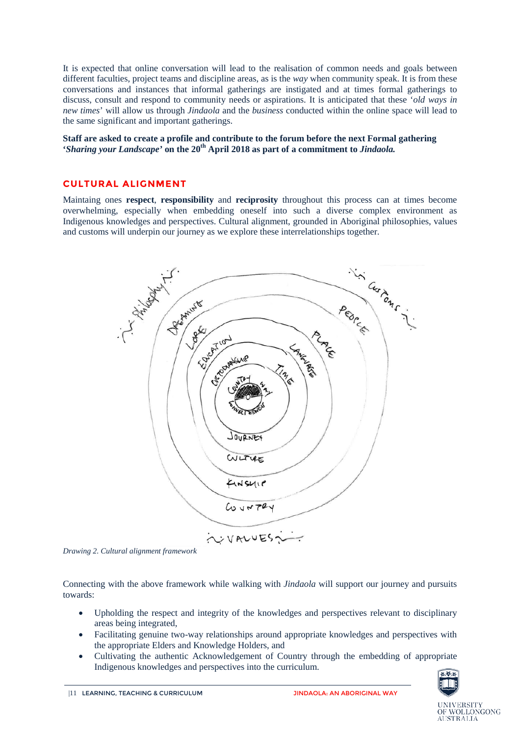It is expected that online conversation will lead to the realisation of common needs and goals between different faculties, project teams and discipline areas, as is the *way* when community speak. It is from these conversations and instances that informal gatherings are instigated and at times formal gatherings to discuss, consult and respond to community needs or aspirations. It is anticipated that these '*old ways in new times*' will allow us through *Jindaola* and the *business* conducted within the online space will lead to the same significant and important gatherings.

#### **Staff are asked to create a profile and contribute to the forum before the next Formal gathering '***Sharing your Landscape'* **on the 20th April 2018 as part of a commitment to** *Jindaola.*

#### <span id="page-12-0"></span>**CULTURAL ALIGNMENT**

Maintaing ones **respect**, **responsibility** and **reciprosity** throughout this process can at times become overwhelming, especially when embedding oneself into such a diverse complex environment as Indigenous knowledges and perspectives. Cultural alignment, grounded in Aboriginal philosophies, values and customs will underpin our journey as we explore these interrelationships together.



*Drawing 2. Cultural alignment framework*

Connecting with the above framework while walking with *Jindaola* will support our journey and pursuits towards:

- Upholding the respect and integrity of the knowledges and perspectives relevant to disciplinary areas being integrated,
- Facilitating genuine two-way relationships around appropriate knowledges and perspectives with the appropriate Elders and Knowledge Holders, and
- Cultivating the authentic Acknowledgement of Country through the embedding of appropriate Indigenous knowledges and perspectives into the curriculum.

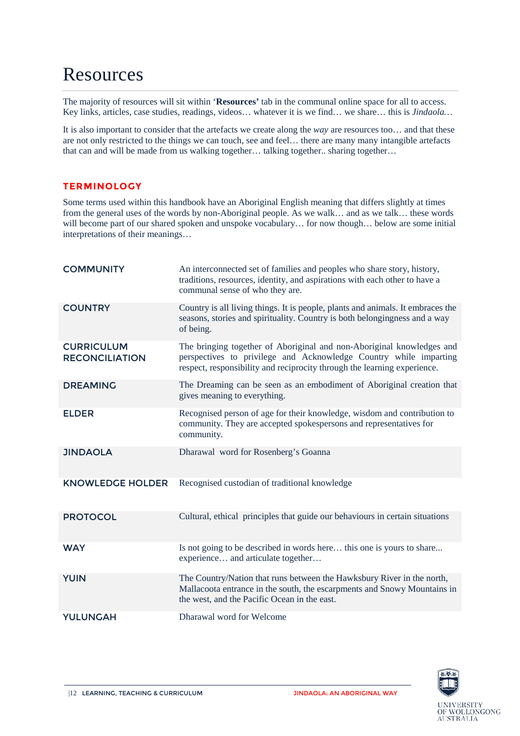### <span id="page-13-0"></span>Resources

The majority of resources will sit within '**Resources'** tab in the communal online space for all to access. Key links, articles, case studies, readings, videos… whatever it is we find… we share… this is *Jindaola…* 

It is also important to consider that the artefacts we create along the *way* are resources too… and that these are not only restricted to the things we can touch, see and feel… there are many many intangible artefacts that can and will be made from us walking together… talking together.. sharing together…

### <span id="page-13-1"></span>**TERMINOLOGY**

Some terms used within this handbook have an Aboriginal English meaning that differs slightly at times from the general uses of the words by non-Aboriginal people. As we walk… and as we talk… these words will become part of our shared spoken and unspoke vocabulary… for now though… below are some initial interpretations of their meanings…

| <b>COMMUNITY</b>                           | An interconnected set of families and peoples who share story, history,<br>traditions, resources, identity, and aspirations with each other to have a<br>communal sense of who they are.                               |
|--------------------------------------------|------------------------------------------------------------------------------------------------------------------------------------------------------------------------------------------------------------------------|
| <b>COUNTRY</b>                             | Country is all living things. It is people, plants and animals. It embraces the<br>seasons, stories and spirituality. Country is both belongingness and a way<br>of being.                                             |
| <b>CURRICULUM</b><br><b>RECONCILIATION</b> | The bringing together of Aboriginal and non-Aboriginal knowledges and<br>perspectives to privilege and Acknowledge Country while imparting<br>respect, responsibility and reciprocity through the learning experience. |
| <b>DREAMING</b>                            | The Dreaming can be seen as an embodiment of Aboriginal creation that<br>gives meaning to everything.                                                                                                                  |
| <b>ELDER</b>                               | Recognised person of age for their knowledge, wisdom and contribution to<br>community. They are accepted spokespersons and representatives for<br>community.                                                           |
| <b>JINDAOLA</b>                            | Dharawal word for Rosenberg's Goanna                                                                                                                                                                                   |
| <b>KNOWLEDGE HOLDER</b>                    | Recognised custodian of traditional knowledge                                                                                                                                                                          |
| <b>PROTOCOL</b>                            | Cultural, ethical principles that guide our behaviours in certain situations                                                                                                                                           |
| <b>WAY</b>                                 | Is not going to be described in words here this one is yours to share<br>experience and articulate together                                                                                                            |
| <b>YUIN</b>                                | The Country/Nation that runs between the Hawksbury River in the north,<br>Mallacoota entrance in the south, the escarpments and Snowy Mountains in<br>the west, and the Pacific Ocean in the east.                     |
| <b>YULUNGAH</b>                            | Dharawal word for Welcome                                                                                                                                                                                              |

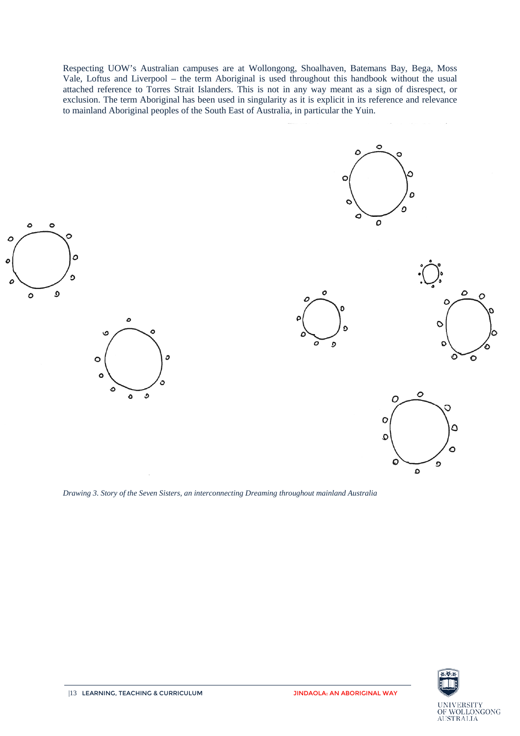Respecting UOW's Australian campuses are at Wollongong, Shoalhaven, Batemans Bay, Bega, Moss Vale, Loftus and Liverpool – the term Aboriginal is used throughout this handbook without the usual attached reference to Torres Strait Islanders. This is not in any way meant as a sign of disrespect, or exclusion. The term Aboriginal has been used in singularity as it is explicit in its reference and relevance to mainland Aboriginal peoples of the South East of Australia, in particular the Yuin.











0

 $\mathbf C$ 

ິ

 $\circ$ 

 $\circ$ 

Ο

*Drawing 3. Story of the Seven Sisters, an interconnecting Dreaming throughout mainland Australia*